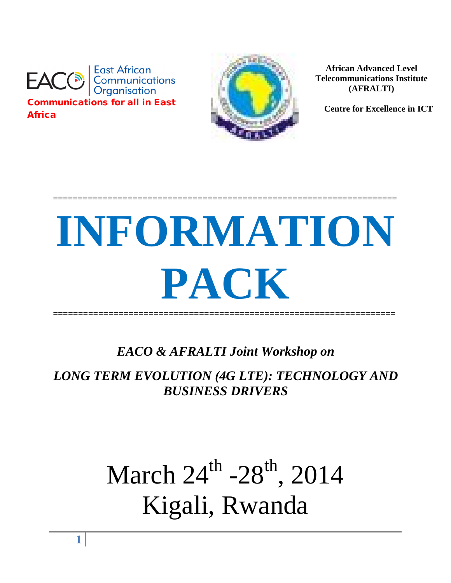



**African Advanced Level Telecommunications Institute (AFRALTI)**

 **Centre for Excellence in ICT**

# **INFORMATION PACK ====================================================================**

=====================================================================

*EACO & AFRALTI Joint Workshop on* 

*LONG TERM EVOLUTION (4G LTE): TECHNOLOGY AND BUSINESS DRIVERS*

# March 24<sup>th</sup> -28<sup>th</sup>, 2014 Kigali, Rwanda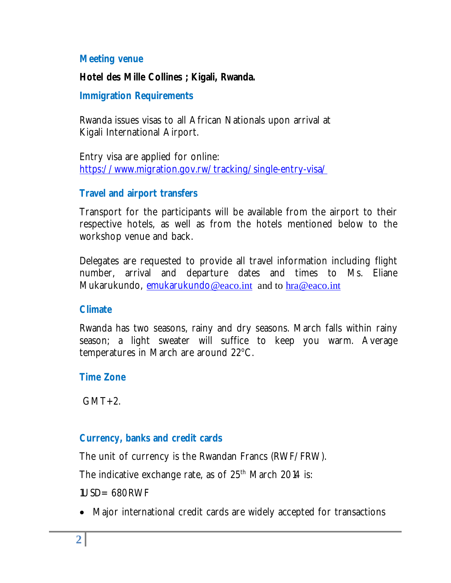#### **Meeting venue**

#### **Hotel des Mille Collines ; Kigali, Rwanda.**

#### **Immigration Requirements**

Rwanda issues visas to all African Nationals upon arrival at Kigali International Airport.

Entry visa are applied for online: https://www.migration.gov.rw/tracking/single-entry-visa/

#### **Travel and airport transfers**

Transport for the participants will be available from the airport to their respective hotels, as well as from the hotels mentioned below to the workshop venue and back.

Delegates are requested to provide all travel information including flight number, arrival and departure dates and times to Ms. Eliane Mukarukundo, emukarukundo@eaco.int and to hra@eaco.int

#### **Climate**

Rwanda has two seasons, rainy and dry seasons. March falls within rainy season; a light sweater will suffice to keep you warm. Average temperatures in March are around 22°C.

#### **Time Zone**

 $GMT+2$ .

#### **Currency, banks and credit cards**

The unit of currency is the Rwandan Francs (RWF/FRW).

The indicative exchange rate, as of 25<sup>th</sup> March 2014 is:

1USD= 680RWF

Major international credit cards are widely accepted for transactions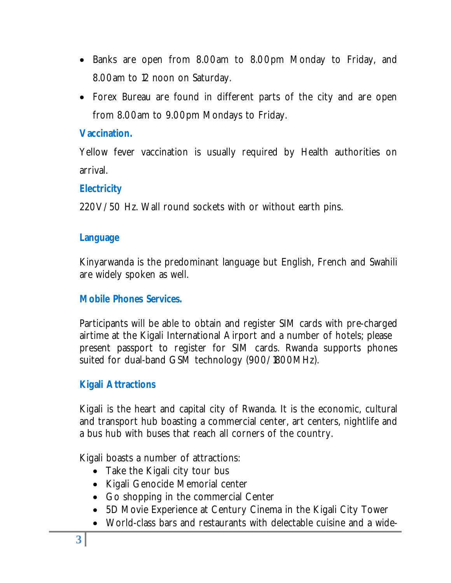- Banks are open from 8.00am to 8.00pm Monday to Friday, and 8.00am to 12 noon on Saturday.
- Forex Bureau are found in different parts of the city and are open from 8.00am to 9.00pm Mondays to Friday.

### **Vaccination.**

Yellow fever vaccination is usually required by Health authorities on arrival.

# **Electricity**

220V/50 Hz. Wall round sockets with or without earth pins.

## **Language**

Kinyarwanda is the predominant language but English, French and Swahili are widely spoken as well.

# **Mobile Phones Services.**

Participants will be able to obtain and register SIM cards with pre-charged airtime at the Kigali International Airport and a number of hotels; please present passport to register for SIM cards. Rwanda supports phones suited for dual-band GSM technology (900/1800MHz).

# **Kigali Attractions**

Kigali is the heart and capital city of Rwanda. It is the economic, cultural and transport hub boasting a commercial center, art centers, nightlife and a bus hub with buses that reach all corners of the country.

Kigali boasts a number of attractions:

- Take the Kigali city tour bus
- Kigali Genocide Memorial center
- Go shopping in the commercial Center
- 5D Movie Experience at Century Cinema in the Kigali City Tower
- World-class bars and restaurants with delectable cuisine and a wide-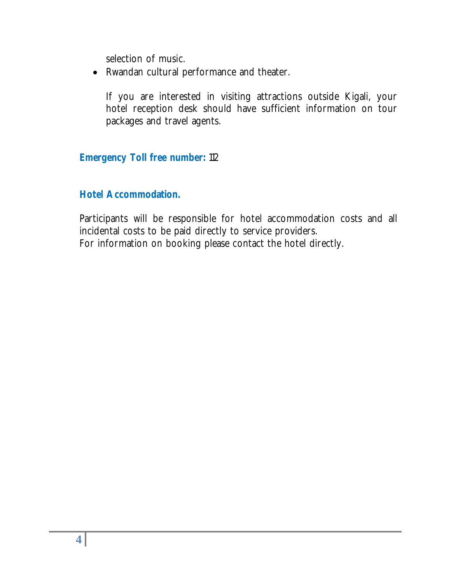selection of music.

Rwandan cultural performance and theater.

If you are interested in visiting attractions outside Kigali, your hotel reception desk should have sufficient information on tour packages and travel agents.

#### **Emergency Toll free number:** 112

#### **Hotel Accommodation.**

Participants will be responsible for hotel accommodation costs and all incidental costs to be paid directly to service providers. For information on booking please contact the hotel directly.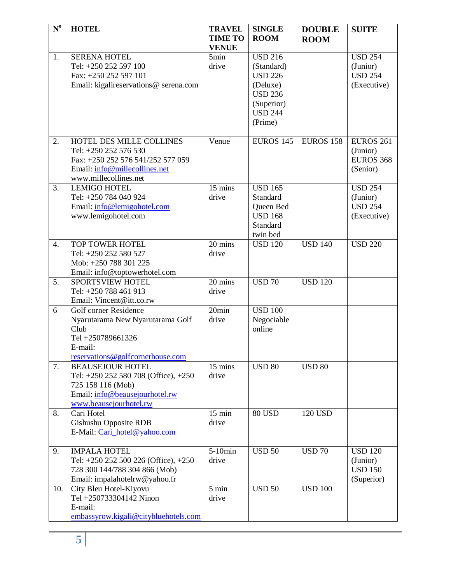| $\mathbf{N}^{\mathrm{o}}$ | <b>HOTEL</b>                                                                                                                                         | <b>TRAVEL</b><br><b>TIME TO</b> | <b>SINGLE</b><br><b>ROOM</b>                                                                                            | <b>DOUBLE</b><br><b>ROOM</b> | <b>SUITE</b>                                                      |
|---------------------------|------------------------------------------------------------------------------------------------------------------------------------------------------|---------------------------------|-------------------------------------------------------------------------------------------------------------------------|------------------------------|-------------------------------------------------------------------|
|                           |                                                                                                                                                      | <b>VENUE</b>                    |                                                                                                                         |                              |                                                                   |
| 1.                        | <b>SERENA HOTEL</b><br>Tel: +250 252 597 100<br>Fax: +250 252 597 101<br>Email: kigalireservations@ serena.com                                       | 5min<br>drive                   | <b>USD 216</b><br>(Standard)<br><b>USD 226</b><br>(Deluxe)<br><b>USD 236</b><br>(Superior)<br><b>USD 244</b><br>(Prime) |                              | $\overline{USD}$ 254<br>(Junior)<br><b>USD 254</b><br>(Executive) |
| 2.                        | HOTEL DES MILLE COLLINES<br>Tel: +250 252 576 530<br>Fax: +250 252 576 541/252 577 059<br>Email: info@millecollines.net<br>www.millecollines.net     | Venue                           | <b>EUROS 145</b>                                                                                                        | <b>EUROS 158</b>             | <b>EUROS 261</b><br>(Junior)<br><b>EUROS 368</b><br>(Senior)      |
| 3.                        | <b>LEMIGO HOTEL</b><br>Tel: +250 784 040 924<br>Email: info@lemigohotel.com<br>www.lemigohotel.com                                                   | 15 mins<br>drive                | <b>USD 165</b><br>Standard<br>Queen Bed<br><b>USD 168</b><br>Standard<br>twin bed                                       |                              | <b>USD 254</b><br>(Junior)<br><b>USD 254</b><br>(Executive)       |
| $\overline{4}$ .          | TOP TOWER HOTEL<br>Tel: +250 252 580 527<br>Mob: +250 788 301 225<br>Email: info@toptowerhotel.com                                                   | 20 mins<br>drive                | <b>USD 120</b>                                                                                                          | <b>USD 140</b>               | <b>USD 220</b>                                                    |
| $\overline{5}$ .          | <b>SPORTSVIEW HOTEL</b><br>Tel: +250 788 461 913<br>Email: Vincent@itt.co.rw                                                                         | 20 mins<br>drive                | <b>USD 70</b>                                                                                                           | <b>USD 120</b>               |                                                                   |
| 6                         | Golf corner Residence<br>Nyarutarama New Nyarutarama Golf<br>Club<br>Tel +250789661326<br>E-mail:<br>reservations@golfcornerhouse.com                | 20min<br>drive                  | <b>USD 100</b><br>Negociable<br>online                                                                                  |                              |                                                                   |
| 7.                        | <b>BEAUSEJOUR HOTEL</b><br>Tel: $+250$ 252 580 708 (Office), $+250$<br>725 158 116 (Mob)<br>Email: info@beausejourhotel.rw<br>www.beausejourhotel.rw | $15 \text{ mins}$<br>drive      | <b>USD 80</b>                                                                                                           | <b>USD 80</b>                |                                                                   |
| 8.                        | Cari Hotel<br>Gishushu Opposite RDB<br>E-Mail: Cari_hotel@yahoo.com                                                                                  | $15 \text{ min}$<br>drive       | <b>80 USD</b>                                                                                                           | 120 USD                      |                                                                   |
| 9.                        | <b>IMPALA HOTEL</b><br>Tel: $+250$ 252 500 226 (Office), $+250$<br>728 300 144/788 304 866 (Mob)<br>Email: impalahotelrw@yahoo.fr                    | $5-10$ min<br>drive             | <b>USD 50</b>                                                                                                           | <b>USD 70</b>                | <b>USD 120</b><br>(Junior)<br><b>USD 150</b><br>(Superior)        |
| 10.                       | City Bleu Hotel-Kiyovu<br>Tel +250733304142 Ninon<br>E-mail:<br>embassyrow.kigali@citybluehotels.com                                                 | $5 \text{ min}$<br>drive        | <b>USD 50</b>                                                                                                           | <b>USD 100</b>               |                                                                   |